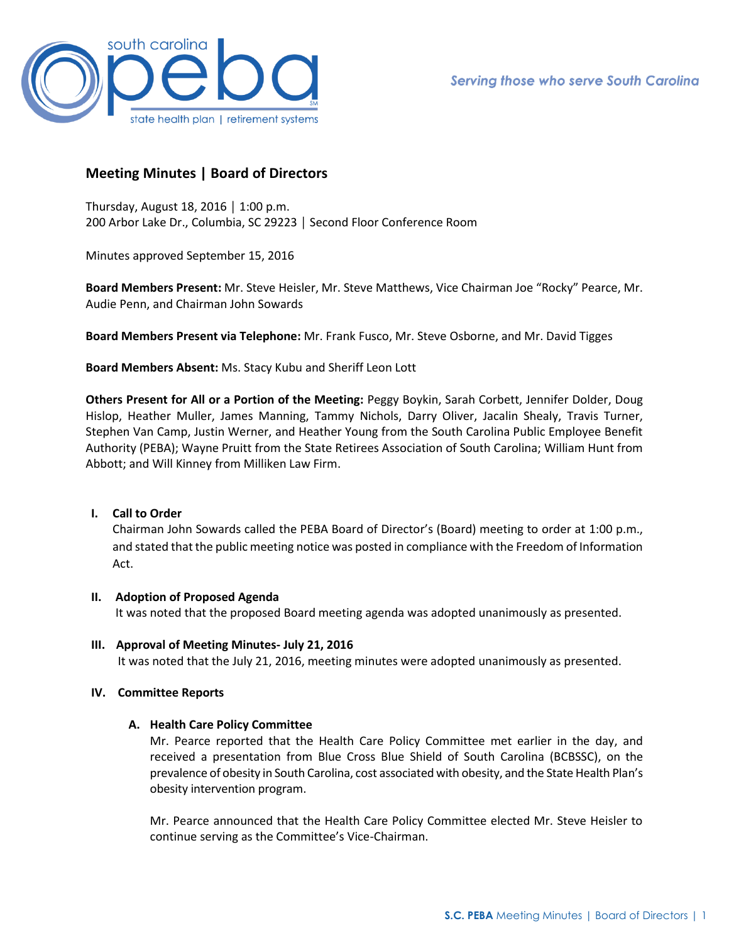

# **Meeting Minutes | Board of Directors**

Thursday, August 18, 2016 │ 1:00 p.m. 200 Arbor Lake Dr., Columbia, SC 29223 │ Second Floor Conference Room

Minutes approved September 15, 2016

**Board Members Present:** Mr. Steve Heisler, Mr. Steve Matthews, Vice Chairman Joe "Rocky" Pearce, Mr. Audie Penn, and Chairman John Sowards

**Board Members Present via Telephone:** Mr. Frank Fusco, Mr. Steve Osborne, and Mr. David Tigges

**Board Members Absent:** Ms. Stacy Kubu and Sheriff Leon Lott

**Others Present for All or a Portion of the Meeting:** Peggy Boykin, Sarah Corbett, Jennifer Dolder, Doug Hislop, Heather Muller, James Manning, Tammy Nichols, Darry Oliver, Jacalin Shealy, Travis Turner, Stephen Van Camp, Justin Werner, and Heather Young from the South Carolina Public Employee Benefit Authority (PEBA); Wayne Pruitt from the State Retirees Association of South Carolina; William Hunt from Abbott; and Will Kinney from Milliken Law Firm.

## **I. Call to Order**

Chairman John Sowards called the PEBA Board of Director's (Board) meeting to order at 1:00 p.m., and stated that the public meeting notice was posted in compliance with the Freedom of Information Act.

#### **II. Adoption of Proposed Agenda**

It was noted that the proposed Board meeting agenda was adopted unanimously as presented.

**III. Approval of Meeting Minutes- July 21, 2016** It was noted that the July 21, 2016, meeting minutes were adopted unanimously as presented.

## **IV. Committee Reports**

#### **A. Health Care Policy Committee**

Mr. Pearce reported that the Health Care Policy Committee met earlier in the day, and received a presentation from Blue Cross Blue Shield of South Carolina (BCBSSC), on the prevalence of obesity in South Carolina, cost associated with obesity, and the State Health Plan's obesity intervention program.

Mr. Pearce announced that the Health Care Policy Committee elected Mr. Steve Heisler to continue serving as the Committee's Vice-Chairman.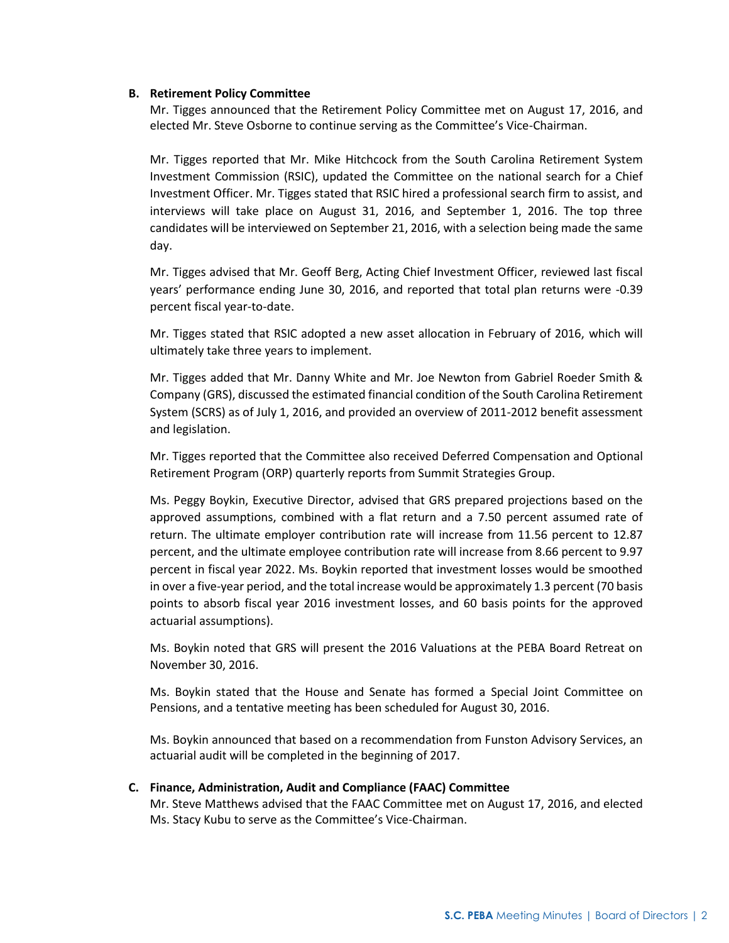#### **B. Retirement Policy Committee**

Mr. Tigges announced that the Retirement Policy Committee met on August 17, 2016, and elected Mr. Steve Osborne to continue serving as the Committee's Vice-Chairman.

Mr. Tigges reported that Mr. Mike Hitchcock from the South Carolina Retirement System Investment Commission (RSIC), updated the Committee on the national search for a Chief Investment Officer. Mr. Tigges stated that RSIC hired a professional search firm to assist, and interviews will take place on August 31, 2016, and September 1, 2016. The top three candidates will be interviewed on September 21, 2016, with a selection being made the same day.

Mr. Tigges advised that Mr. Geoff Berg, Acting Chief Investment Officer, reviewed last fiscal years' performance ending June 30, 2016, and reported that total plan returns were -0.39 percent fiscal year-to-date.

Mr. Tigges stated that RSIC adopted a new asset allocation in February of 2016, which will ultimately take three years to implement.

Mr. Tigges added that Mr. Danny White and Mr. Joe Newton from Gabriel Roeder Smith & Company (GRS), discussed the estimated financial condition of the South Carolina Retirement System (SCRS) as of July 1, 2016, and provided an overview of 2011-2012 benefit assessment and legislation.

Mr. Tigges reported that the Committee also received Deferred Compensation and Optional Retirement Program (ORP) quarterly reports from Summit Strategies Group.

Ms. Peggy Boykin, Executive Director, advised that GRS prepared projections based on the approved assumptions, combined with a flat return and a 7.50 percent assumed rate of return. The ultimate employer contribution rate will increase from 11.56 percent to 12.87 percent, and the ultimate employee contribution rate will increase from 8.66 percent to 9.97 percent in fiscal year 2022. Ms. Boykin reported that investment losses would be smoothed in over a five-year period, and the total increase would be approximately 1.3 percent (70 basis points to absorb fiscal year 2016 investment losses, and 60 basis points for the approved actuarial assumptions).

Ms. Boykin noted that GRS will present the 2016 Valuations at the PEBA Board Retreat on November 30, 2016.

Ms. Boykin stated that the House and Senate has formed a Special Joint Committee on Pensions, and a tentative meeting has been scheduled for August 30, 2016.

Ms. Boykin announced that based on a recommendation from Funston Advisory Services, an actuarial audit will be completed in the beginning of 2017.

#### **C. Finance, Administration, Audit and Compliance (FAAC) Committee**

Mr. Steve Matthews advised that the FAAC Committee met on August 17, 2016, and elected Ms. Stacy Kubu to serve as the Committee's Vice-Chairman.